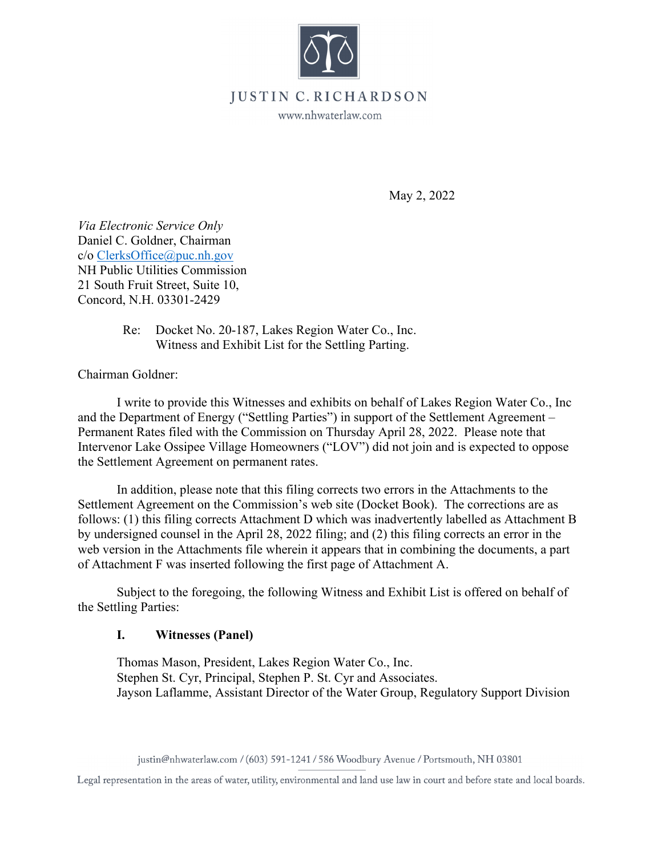

## **JUSTIN** • **C. RICHARDSON**

www.nhwaterlaw.com

May 2, 2022

*Via Electronic Service Only*  Daniel C. Goldner, Chairman c/o ClerksOffice@puc.nh.gov NH Public Utilities Commission 21 South Fruit Street, Suite 10, Concord, N.H. 03301-2429

> Re: Docket No. 20-187, Lakes Region Water Co., Inc. Witness and Exhibit List for the Settling Parting.

Chairman Goldner:

I write to provide this Witnesses and exhibits on behalf of Lakes Region Water Co., Inc and the Department of Energy ("Settling Parties") in support of the Settlement Agreement – Permanent Rates filed with the Commission on Thursday April 28, 2022. Please note that Intervenor Lake Ossipee Village Homeowners ("LOV") did not join and is expected to oppose the Settlement Agreement on permanent rates.

In addition, please note that this filing corrects two errors in the Attachments to the Settlement Agreement on the Commission's web site (Docket Book). The corrections are as follows: (1) this filing corrects Attachment D which was inadvertently labelled as Attachment B by undersigned counsel in the April 28, 2022 filing; and (2) this filing corrects an error in the web version in the Attachments file wherein it appears that in combining the documents, a part of Attachment F was inserted following the first page of Attachment A.

Subject to the foregoing, the following Witness and Exhibit List is offered on behalf of the Settling Parties:

## **I. Witnesses (Panel)**

Thomas Mason, President, Lakes Region Water Co., Inc. Stephen St. Cyr, Principal, Stephen P. St. Cyr and Associates. Jayson Laflamme, Assistant Director of the Water Group, Regulatory Support Division

justin@nhwaterlaw.com / (603) 591-1241 / 586 Woodbury Avenue/ Portsmouth, **NH** 03801

Legal representation in the areas of water, utility, environmental and land use law in court and before state and local boards.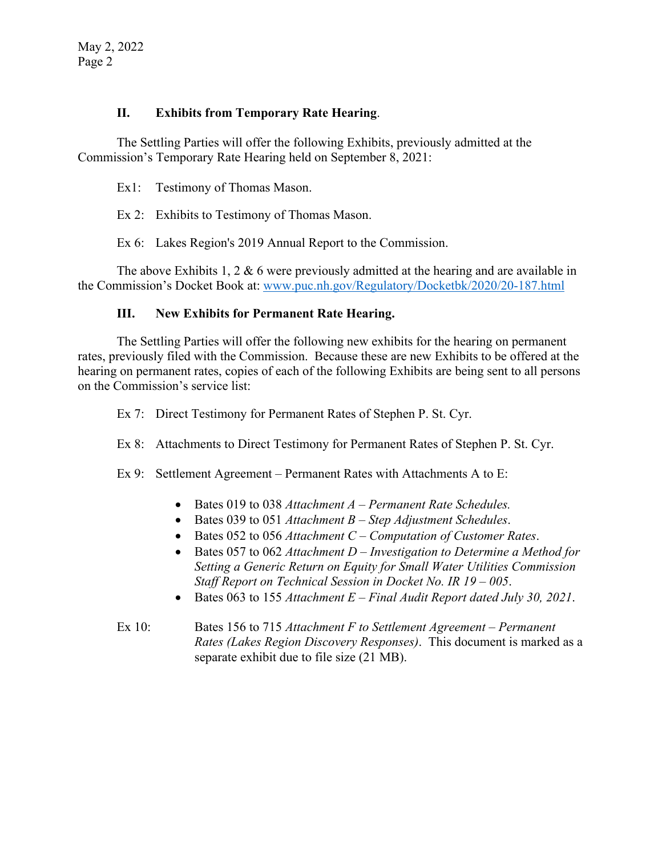## **II. Exhibits from Temporary Rate Hearing**.

The Settling Parties will offer the following Exhibits, previously admitted at the Commission's Temporary Rate Hearing held on September 8, 2021:

Ex1: Testimony of Thomas Mason.

Ex 2: Exhibits to Testimony of Thomas Mason.

Ex 6: Lakes Region's 2019 Annual Report to the Commission.

The above Exhibits 1, 2  $\&$  6 were previously admitted at the hearing and are available in the Commission's Docket Book at: www.puc.nh.gov/Regulatory/Docketbk/2020/20-187.html

## **III. New Exhibits for Permanent Rate Hearing.**

The Settling Parties will offer the following new exhibits for the hearing on permanent rates, previously filed with the Commission. Because these are new Exhibits to be offered at the hearing on permanent rates, copies of each of the following Exhibits are being sent to all persons on the Commission's service list:

Ex 7: Direct Testimony for Permanent Rates of Stephen P. St. Cyr.

Ex 8: Attachments to Direct Testimony for Permanent Rates of Stephen P. St. Cyr.

Ex 9: Settlement Agreement – Permanent Rates with Attachments A to E:

- Bates 019 to 038 *Attachment A Permanent Rate Schedules.*
- Bates 039 to 051 *Attachment B Step Adjustment Schedules*.
- Bates 052 to 056 *Attachment C Computation of Customer Rates*.
- Bates 057 to 062 *Attachment D Investigation to Determine a Method for Setting a Generic Return on Equity for Small Water Utilities Commission Staff Report on Technical Session in Docket No. IR 19 – 005*.
- Bates 063 to 155 *Attachment E Final Audit Report dated July 30, 2021*.
- Ex 10: Bates 156 to 715 *Attachment F to Settlement Agreement Permanent Rates (Lakes Region Discovery Responses)*. This document is marked as a separate exhibit due to file size (21 MB).